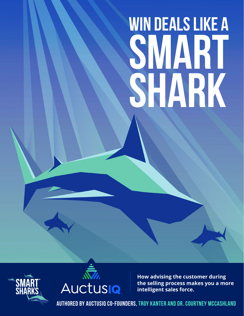# **Win Deals like a SMART SHARK**





**How advising the customer during the selling process makes you a more intelligent sales force.** 

**authored by auctusiq co-founders, troy kanter and dr. courtney mccashland**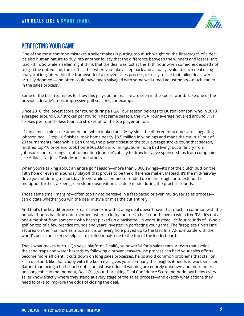

#### **perfecting your game**

One of the most common mistakes a seller makes is putting too much weight on the final stages of a deal. It's also human nature to buy into another fallacy that the difference between the winners and losers isn't razor-thin. So while a seller might think that the deal was lost at the 11th hour when someone decided not to sign the dotted line, the truth is that when you take a step back and actually evaluate each deal using analytical insights within the framework of a proven sales process, it's easy to see that failed deals were actually doomed—and often could have been salvaged with some well-timed adjustments—much earlier in the sales process.

Some of the best examples for how this plays out in real life are seen in the sports world. Take one of the previous decade's most impressive golf seasons, for example.

Since 2010, the lowest score per round during a PGA Tour season belongs to Dustin Johnson, who in 2018 averaged around 68.7 strokes per round. That same season, the PGA Tour average hovered around 71.1 strokes per round—less than 2.5 strokes off of the top player on tour.

It's an almost-miniscule amount, but when looked at side-by-side, the different outcomes are staggering. Johnson had 12 top 10 finishes, took home nearly \$8.5 million in winnings and made the cut in 19 out of 20 tournaments. Meanwhile Ben Crane, the player closest to the tour average stroke count that season, finished top-10 once and took home \$620,646 in winnings. Sure, not a bad living, but a far cry from Johnson's tour earnings—not to mention Johnson's ability to draw lucrative sponsorships from companies like Adidas, NetJets, TaylorMade and others.

When you're talking about an entire golf season—more than 5,000 swings—it's not the clutch putt on the 18th hole or even in a Sunday playoff that proves to be the difference maker. Instead, it's the mid-fairway drive you hit during a Thursday drizzle while a competitor ended up in the rough, or to extend the metaphor further, a keen green slope observation a caddie made during the practice rounds.

Those same small margins—often too tiny to perceive in a fast-paced or even multi-year sales process can dictate whether you win the deal in style or miss the cut entirely.

And that's the key difference: Smart sellers know that a big deal doesn't have that much in common with the popular hoops halftime entertainment where a lucky fan tries a half-court heave to win a free TV—it's not a one-time shot from someone who hasn't picked up a basketball in years. Instead, it's four rounds of 18-hole golf on top of a few practice rounds and years invested in perfecting your game. The first-place finish isn't secured on the final hole as much as it is on every hole played up to the last. In a 72-hole battle with the world's best, consistency helps elite professionals rise to the top of the leaderboard.

That's what makes AuctusIQ's sales platform, DealIQ, so powerful for a sales team. A team that avoids the sand traps and water hazards by following a proven, easy-to-use process can help your sales efforts become more efficient. It cuts down on long sales processes, helps avoid common problems that stall or kill a deal and, like that caddy with the keen eye, gives your company the insights it needs to work smarter. Rather than being a half-court contestant whose odds of winning are entirely unknown and more or less unchangeable in the moment, DealIQ's ground-breaking Deal Confidence Score methodology helps every seller know exactly where they stand at every stage of the sales process—and exactly what actions they need to take to improve the odds of closing the deal.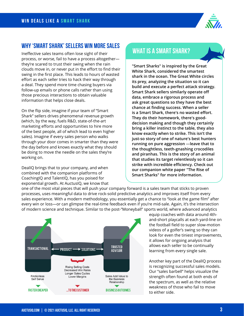

#### **Why 'Smart Shark' sellers win more sales**

Ineffective sales teams often lose sight of their process, or worse, fail to have a process altogether they're scared to trust their swing when the rain clouds move in, or never put in the effort to find their swing in the first place. This leads to hours of wasted effort as each seller tries to hack their way through a deal. They spend more time chasing buyers via follow-up emails or phone calls rather than using those precious interactions to obtain valuable information that helps close deals.

On the flip side, imagine if your team of "Smart Shark" sellers drives phenomenal revenue growth (which, by the way, fuels R&D, state-of-the-art marketing efforts and opportunities to hire more of the best people, all of which lead to even higher sales). Imagine if every sales person who walks through your door comes in smarter than they were the day before and knows exactly what they should be doing to move the needle on the sales they're working on.

DealIQ brings that to your company, and when combined with the companion platforms of CoachingIQ and TalentIQ, has you poised for exponential growth. At AuctusIQ, we know that

#### **WHAT IS A SMART SHARK?**

**"Smart Sharks" is inspired by the Great White Shark, considered the smartest shark in the ocean. The Great White circles its prey, analyzing the situation so it can build and execute a perfect attack strategy. Smart Shark sellers similarly operate off data, embrace a rigorous process and ask great questions so they have the best chance at finding success. When a seller is a Smart Shark, there's no wasted effort. They do their homework, there's gooddecision making and though they certainly bring a killer instinct to the table, they also know exactly when to strike. This isn't the just-so story of one of nature's best hunters running on pure aggression** —**leave that to the thoughtless, teeth-gnashing crocodiles and piranhas. This is the story of an animal that studies its target relentlessly so it can strike with incredible efficiency. Check out our companion white paper "The Rise of Smart Sharks" for more information.**

one of the most vital pieces that will push your company forward is a sales team that sticks to proven processes, uses meaningful data to drive rock-solid predictive analytics and improves itself from every sales experience. With a modern methodology, you essentially get a chance to "look at the game film" after every win or loss—or can glimpse the real-time feedback even if you're mid-sale. Again, it's the intersection of modern science and technique. Similar to the post-"Moneyball" sports world, where advanced analytics



equip coaches with data around 4thand-short playcalls at each yard-line on the football field to super slow-motion videos of a golfer's swing so they can look for even the tiniest improvements, it allows for ongoing analysis that allows each seller to be continually learning from every single sale.

Another key part of the DealIQ process is recognizing successful sales models. Our "sales barbell" helps visualize the strength often found at both ends of the spectrum, as well as the relative weakness of those who fail to move to either side.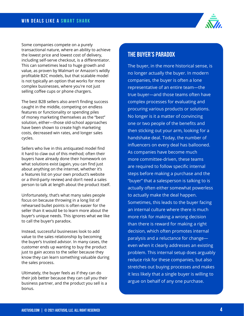

Some companies compete on a purely transactional nature, where an ability to achieve the lowest price and lowest cost of delivery, including self-serve checkout, is a differentiator. This can sometimes lead to huge growth and value, as proven by Walmart or Amazon's wildly profitable B2C models, but that scalable model is not typically an option that works for more complex businesses, where you're not just selling coffee cups or phone chargers.

The best B2B sellers also aren't finding success caught in the middle, competing on endless features or functionality or spending piles of money marketing themselves as the "best" solution, either—those old-school approaches have been shown to create high marketing costs, decreased win rates, and longer sales cycles.

Sellers who live in this antiquated model find it hard to claw out of this method; often their buyers have already done their homework on what solutions exist (again, you can find just about anything on the internet, whether it's a features list on your own product's website or a third-party review) and don't need a sales person to talk at length about the product itself.

Unfortunately, that's what many sales people focus on because throwing in a long list of rehearsed bullet points is often easier for the seller than it would be to learn more about the buyer's unique needs. This ignores what we like to call the buyer's paradox.

Instead, successful businesses look to add value to the sales relationship by becoming the buyer's trusted advisor. In many cases, the customer ends up wanting to buy the product just to gain access to the seller because they know they can learn something valuable during the sales process.

Ultimately, the buyer feels as if they can do their job better because they can call you their business partner, and the product you sell is a bonus.

#### **THE BUYER'S PARADOX**

The buyer, in the more historical sense, is no longer actually the buyer. In modern companies, the buyer is often a lone representative of an entire team—the true buyer—and those teams often have complex processes for evaluating and procuring various products or solutions. No longer is it a matter of convincing one or two people of the benefits and then sticking out your arm, looking for a handshake deal. Today, the number of influencers on every deal has ballooned. As companies have become much more committee-driven, these teams are required to follow specific internal steps before making a purchase and the "buyer" that a salesperson is talking to is actually often either somewhat powerless to actually make the deal happen. Sometimes, this leads to the buyer facing an internal culture where there is much more risk for making a wrong decision than there is reward for making a right decision, which often promotes internal paralysis and a reluctance for change even when it clearly addresses an existing problem. This internal setup does arguably reduce risk for these companies, but also stretches out buying processes and makes it less likely that a single buyer is willing to argue on behalf of any one purchase.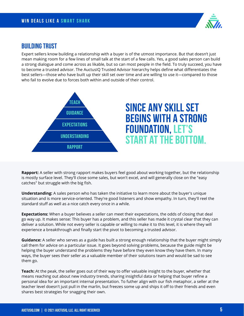

#### **building trust**

Expert sellers know building a relationship with a buyer is of the utmost importance. But that doesn't just mean making room for a few lines of small talk at the start of a few calls. Yes, a good sales person can build a strong dialogue and come across as likable, but so can most people in the field. To truly succeed, you have to become a trusted advisor. The AuctusIQ Trusted Advisor hierarchy helps define what differentiates the best sellers—those who have built up their skill set over time and are willing to use it—compared to those who fail to evolve due to forces both within and outside of their control.



# **Since any skill set begins with a strong foundation, let's start at the bottom.**

**Rapport:** A seller with strong rapport makes buyers feel good about working together, but the relationship is mostly surface level. They'll close some sales, but won't excel, and will generally close on the "easy catches" but struggle with the big fish.

**Understanding:** A sales person who has taken the initiative to learn more about the buyer's unique situation and is more service-oriented. They're good listeners and show empathy. In turn, they'll reel the standard stuff as well as a nice catch every once in a while.

**Expectations:** When a buyer believes a seller can meet their expectations, the odds of closing that deal go way up. It makes sense: This buyer has a problem, and this seller has made it crystal clear that they can deliver a solution. While not every seller is capable or willing to make it to this level, it is where they will experience a breakthrough and finally start the pivot to becoming a trusted advisor.

**Guidance:** A seller who serves as a guide has built a strong enough relationship that the buyer might simply call them for advice on a particular issue. It goes beyond solving problems, because the guide might be helping the buyer understand the problems they have before they even know they have them. In many ways, the buyer sees their seller as a valuable member of their solutions team and would be sad to see them go.

**Teach:** At the peak, the seller goes out of their way to offer valuable insight to the buyer, whether that means reaching out about new industry trends, sharing insightful data or helping that buyer refine a personal idea for an important internal presentation. To futher align with our fish metaphor, a seller at the teacher level doesn't just pull in the marlin, but freezes some up and ships it off to their friends and even shares best strategies for snagging their own.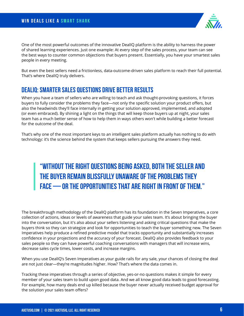One of the most powerful outcomes of the innovative DealIQ platform is the ability to harness the power of shared learning experiences. Just one example: At every step of the sales process, your team can see the best ways to counter common objections that buyers present. Essentially, you have your smartest sales people in every meeting.

But even the best sellers need a frictionless, data-outcome-driven sales platform to reach their full potential. That's where DealIQ truly delivers.

#### **DealIQ: Smarter sales questions drive better results**

When you have a team of sellers who are willing to teach and ask thought-provoking questions, it forces buyers to fully consider the problems they face—not only the specific solution your product offers, but also the headwinds they'll face internally in getting your solution approved, implemented, and adopted (or even embraced). By shining a light on the things that will keep those buyers up at night, your sales team has a much better sense of how to help them in ways others won't while building a better forecast for the outcome of the deal.

That's why one of the most important keys to an intelligent sales platform actually has nothing to do with technology: it's the science behind the system that keeps sellers pursuing the answers they need.

## **"Without the right questions being asked, both the seller and the buyer remain blissfully unaware of the problems they face — or the opportunities that are right in front of them."**

The breakthrough methodology of the DealIQ platform has its foundation in the Seven Imperatives, a core collection of actions, ideas or levels of awareness that guide your sales team. It's about bringing the buyer into the conversation, but it's also about your sellers listening and asking critical questions that make the buyers think so they can strategize and look for opportunities to teach the buyer something new. The Seven Imperatives help produce a refined predictive model that tracks opportunity and substantially increases confidence in your projections and the accuracy of your forecast. DealIQ also provides feedback to your sales people so they can have powerful coaching conversations with managers that will increase wins, decrease sales cycle times, lower costs, and increase margins.

When you use DealIQ's Seven Imperatives as your guide rails for any sale, your chances of closing the deal are not just clear—they're magnitudes higher. How? That's where the data comes in.

Tracking these imperatives through a series of objective, yes-or-no questions makes it simple for every member of your sales team to build upon good data. And we all know good data leads to good forecasting. For example, how many deals end up killed because the buyer never actually received budget approval for the solution your sales team offers?

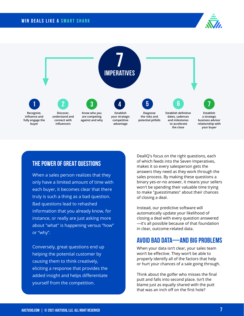



#### **THE POWER OF GREAT QUESTIONS**

When a sales person realizes that they only have a limited amount of time with each buyer, it becomes clear that there truly is such a thing as a bad question. Bad questions lead to rehashed information that you already know, for instance, or really are just asking more about "what" is happening versus "how" or "why".

Conversely, great questions end up helping the potential customer by causing them to think creatively, eliciting a response that provides the added insight and helps differentiate yourself from the competition.

DealIQ's focus on the right questions, each of which feeds into the Seven Imperatives, makes it so every salesperson gets the answers they need as they work through the sales process. By making these questions a binary yes-or-no answer, it means your sellers won't be spending their valuable time trying to make "guesstimates" about their chances of closing a deal.

Instead, our predictive software will automatically update your likelihood of closing a deal with every question answered —it's all possible because of that foundation in clear, outcome-related data.

#### **Avoid Bad Data—and Big Problems**

When your data isn't clear, your sales team won't be effective. They won't be able to properly identify all of the factors that help or hurt your chances of a sale going through.

Think about the golfer who misses the final putt and falls into second place. Isn't the blame just as equally shared with the putt that was an inch off on the first hole?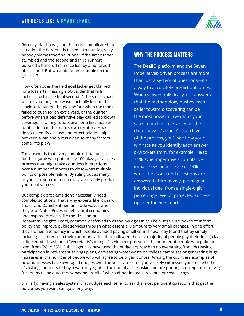

Recency bias is real, and the more complicated the situation the harder it is to see. In a four-leg relay, nobody blames the final runner if the first runner stumbled and the second and third runners bobbled a hand-off in a race lost by a hundredth of a second. But what about an example on the gridiron?

How often does the field goal kicker get blamed for a loss after missing a 50-yarder that falls inches short in the final seconds? The smart coach will tell you the game wasn't actually lost on that single kick, but on the play before when the team failed to push for an extra yard, or the quarter before when a bad defensive play call led to blown coverage on a long touchdown, or a first-quarter fumble deep in the team's own territory. How do you identify a cause-and-effect relationship between a win and a loss when so many factors come into play?

The answer is that every complex situation—a football game with potentially 100 plays, or a sales process that might take countless interactions over a number of months to close—has multiple points of possible failure. By ruling out as many as you can, you can much more accurately predict your deal success.

But complex problems don't necessarily need complex solutions: That's why experts like Richard Thaler and Daniel Kahneman made waves when they won Nobel Prizes in behavioral economics and inspired projects like the UK's famous

#### **why the process matters**

The DealIQ platform and the Seven Imperatives-driven process are more than just a system of questions—it's a way to accurately predict outcomes. When viewed holistically, the answers that the methodology pushes each seller toward discovering can be the most powerful weapons your sales team has in its arsenal. The data shows it's true: At each level of the process, you'll see how your win rate as you identify each answer skyrockets from, for example, 1% to 31%. One imperative's cumulative impact sees an increase of 49% when the associated questions are answered affirmatively, pushing an individual deal from a single-digit percentage level of projected success up over the 50% mark.

Behavioral Insights Team, commonly referred to as the "Nudge Unit." The Nudge Unit looked to inform policy and improve public services through what essentially amount to very small changes. In one effort, they studied a tendency in which people avoided paying small court fines. They found that by simply including a sentence in their communication that indicated the vast majority of people pay their fines (a.k.a, a little good ol' fashioned "everybody's doing it"-style peer pressure), the number of people who paid up went from 5% to 33%. Public agencies have used the nudge approach to do everything from increasing participation in retirement savings plans, decreasing water waste on college campuses or generating huge increases in the number of people who will agree to be organ donors. Among the countless examples of how businesses have leveraged nudges over the years are some you've likely witnessed yourself, whether it's asking shoppers to buy a warranty right at the end of a sale, asking before printing a receipt or removing friction by using auto-renew payments, all of which either increase revenue or cost savings.

Similarly, having a sales system that nudges each seller to ask the most pertinent questions that get the outcomes you want can go a long way.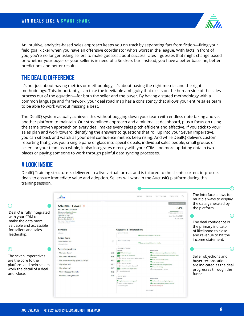An intuitive, analytics-based sales approach keeps you on track by separating fact from fiction—firing your field goal kicker when you have an offensive coordinator who's worst in the league. With facts in front of you, you're no longer asking sellers to make guesses about success rates—guesses that might change based on whether your buyer or your seller is in need of a Snickers bar. Instead, you have a better baseline, better predictions and better results.

#### **The DealIQ Difference**

It's not just about having metrics or methodology, it's about having the right metrics and the right methodology. This, importantly, can take the inevitable ambiguity that exists on the human side of the sales process out of the equation—for both the seller and the buyer. By having a stated methodology with a common language and framework, your deal road map has a consistency that allows your entire sales team to be able to work without missing a beat.

The DealIQ system actually achieves this without bogging down your team with endless note-taking and yet another platform to maintain. Our streamlined approach and a minimalist dashboard, plus a focus on using the same proven approach on every deal, makes every sales pitch efficient and effective. If you stick to your sales plan and work toward identifying the answers to questions that roll up into your Seven Imperative, you can sit back and watch as your deal confidence metrics keep rising. And while DealIQ delivers custom reporting that gives you a single pane of glass into specific deals, individual sales people, small groups of sellers or your team as a whole, it also integrates directly with your CRM—no more updating data in two places or paying someone to work through painful data syncing processes.

#### **A LOOK INSIDE**

DealIQ Training structure is delivered in a live virtual format and is tailored to the clients current in-process deals to ensure immediate value and adoption. Sellers will work in the AuctusIQ platform during this training session.

|                                                                                                 |                                                                                                                                                                                                                                                   | 3)                                    |                                                                  |                                                                                                                  |                                                                  |
|-------------------------------------------------------------------------------------------------|---------------------------------------------------------------------------------------------------------------------------------------------------------------------------------------------------------------------------------------------------|---------------------------------------|------------------------------------------------------------------|------------------------------------------------------------------------------------------------------------------|------------------------------------------------------------------|
|                                                                                                 | Ā.<br><b>Auctusta</b>                                                                                                                                                                                                                             |                                       | <b>DEALS</b>                                                     | $\mathbb{R}$<br>REPORTS<br>TEAMS<br>MY PROFILE                                                                   | The interface allows for<br>multiple ways to display             |
| DealIQ is fully integrated<br>with your CRM to<br>make the data more<br>valuable and accessible | Schumm - Howell ><br>Est Deal Size: \$884,400<br>Salesperson: Candice Moreno<br>Created on: 04/07/2020<br>Open for: 317 days<br>Last updated: 02/18/2021<br>Est close date: 11/26/20 A<br>Edit Details View in HubSpot<br>Last synced a month ago |                                       |                                                                  | <b>Presentation Scheduled</b><br>64%<br><b><i>Q DEAL CONFIDENCE</i></b><br>Items Completed: 85%<br>View Activity | the data generated by<br>the platform.<br>The deal confidence is |
| for sellers and sales                                                                           | <b>Key Risks</b>                                                                                                                                                                                                                                  |                                       | <b>Objectives &amp; Reciprocations</b>                           |                                                                                                                  | the primary indicator<br>of likelihood to close                  |
|                                                                                                 | - New risk                                                                                                                                                                                                                                        |                                       | QUALIFY (5/5)                                                    |                                                                                                                  |                                                                  |
| leadership.                                                                                     | <b>Action Items</b>                                                                                                                                                                                                                               | Stage complete. Click to show details |                                                                  |                                                                                                                  | and revenue to hit the                                           |
|                                                                                                 | New action item here                                                                                                                                                                                                                              | $\odot$                               | DISCOVERY (9/9)                                                  |                                                                                                                  | income statement.                                                |
|                                                                                                 | - New Action Item                                                                                                                                                                                                                                 |                                       | Stage complete. Click to show details                            |                                                                                                                  |                                                                  |
|                                                                                                 |                                                                                                                                                                                                                                                   |                                       | ALLIANCE (10/15)                                                 |                                                                                                                  |                                                                  |
|                                                                                                 | <b>Seven Imperatives</b>                                                                                                                                                                                                                          |                                       | Objectives                                                       | Reciprocations                                                                                                   |                                                                  |
|                                                                                                 | Who is the Buver?                                                                                                                                                                                                                                 | 5/5                                   | 5/5 It: Who is the Buyer?<br>5/5 12: Who are the Influencers?    | Key influencer or buyer becomes an advisor<br>Provides business data to co-develop ROI/Value                     |                                                                  |
| The seven imperatives                                                                           | Who are the Influencers?                                                                                                                                                                                                                          | 5/5                                   | 4/5 13: Who are we competing against and why?                    | Proposition                                                                                                      | Seller objections and                                            |
| are the core to the                                                                             | Who are we competing against, and why?                                                                                                                                                                                                            | 4/5                                   | 5/5 14: Why will we win?                                         | Gives access to all influencers<br>Gives access to buyer                                                         | buyer reciprocations                                             |
| platform and help sellers                                                                       | Why will we win?                                                                                                                                                                                                                                  | 5/5                                   | 4/5 15: Why will we lose?<br>3/5 16: When will decision be made? | Shares alternatives being considered                                                                             | are indicated as the deal                                        |
| work the detail of a deal                                                                       | Why will we lose?                                                                                                                                                                                                                                 | 4/5                                   | 5/5 17: What have we taught them?                                | Shares win strategy<br>O Verbal commitment to close                                                              |                                                                  |
|                                                                                                 | When will decision be made?                                                                                                                                                                                                                       | 3/5                                   | O Proposal presented                                             |                                                                                                                  | progresses through the                                           |
| until close.                                                                                    | What have we taught them?                                                                                                                                                                                                                         | 5/5                                   | CLOSE(3/6)                                                       |                                                                                                                  | funnel.                                                          |
|                                                                                                 |                                                                                                                                                                                                                                                   |                                       | Objectives                                                       | Reciprocations                                                                                                   |                                                                  |
|                                                                                                 |                                                                                                                                                                                                                                                   |                                       | Legal and procurement engaged<br>O Terms and fees negotiated     | Assistance in completing closing docs<br>Access to all legal and procurement staff                               |                                                                  |
|                                                                                                 |                                                                                                                                                                                                                                                   |                                       | O Contract signed                                                | 8 Kickoff date agreed                                                                                            |                                                                  |
|                                                                                                 |                                                                                                                                                                                                                                                   |                                       | Won this deal?                                                   |                                                                                                                  |                                                                  |

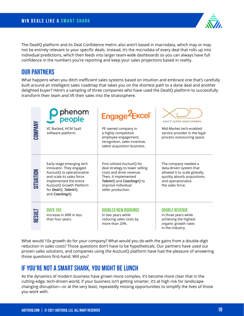The DealIQ platform and its Deal Confidence metric also aren't based in macrodata, which may or may not be entirely relevant to your specific deals. Instead, it's the microdata of every deal that rolls up into individual predictions, which then feeds into larger team-wide dashboards so you can always have full confidence in the numbers you're reporting and keep your sales projections based in reality.

#### **Our Partners**

What happens when you ditch inefficient sales systems based on intuition and embrace one that's carefully built around an intelligent sales roadmap that takes you on the shortest path to a done deal and another delighted buyer? Here's a sampling of three companies who have used the DealIQ platform to successfully transform their team and lift their sales into the stratosphere.

|                | <b>O</b> phenom                                                                                                                                                                                                    | Engage <sup>2</sup> Excel                                                                                                                                                                   | <b>XACT DATA DISCOVERY</b>                                                                                                                                |
|----------------|--------------------------------------------------------------------------------------------------------------------------------------------------------------------------------------------------------------------|---------------------------------------------------------------------------------------------------------------------------------------------------------------------------------------------|-----------------------------------------------------------------------------------------------------------------------------------------------------------|
| <b>COMPANY</b> | VC Backed, HCM SaaS<br>software platform.                                                                                                                                                                          | PE owned company in<br>a highly competitive<br>employee engagement,<br>recognition, sales incentive,<br>talent acquisition business.                                                        | Mid-Market tech-enabled<br>service provider in the legal<br>process outsourcing space.                                                                    |
| SITUATION      | Early-stage emerging tech<br>innovator. They engaged<br>AuctusIQ to operationalize<br>and scale its sales force.<br>Implemented the entire<br>AuctusIQ Growth Platform<br>for DealIQ, TalentIQ,<br>and Coaching/Q. | First utilized AuctusIQ for<br>deal strategy to lower selling<br>costs and drive revenue.<br>Then, it implemented<br>Talent/Q and Coaching/Q to<br>improve individual<br>seller production. | The company needed a<br>data-driven system that<br>allowed it to scale globally,<br>quickly absorb acquisitions<br>and operationalize<br>the sales force. |
| RESULT         | <b>OVER 10X</b><br>Increase in ARR in less<br>than four years.                                                                                                                                                     | <b>DOUBLED NEW BOOKINGS</b><br>In two years while<br>reducing sales costs by<br>more than 20%.                                                                                              | <b>DOUBLE REVENUE</b><br>In three years while<br>achieving the highest<br>organic growth rates<br>in the industry.                                        |

What would 10x growth do for your company? What would you do with the gains from a double-digit reduction in sales costs? Those questions don't have to be hypotheticals. Our partners have used our proven sales solutions, and companies using the AuctusIQ platform have had the pleasure of answering those questions first-hand. Will you?

#### **If you're not a Smart Shark, you might be lunch**

As the dynamics of modern business have grown more complex, it's become more clear that in the cutting-edge, tech-driven world, if your business isn't getting smarter, it's at high risk for landscapechanging disruption—or at the very least, repeatedly missing opportunities to simplify the lives of those you work with.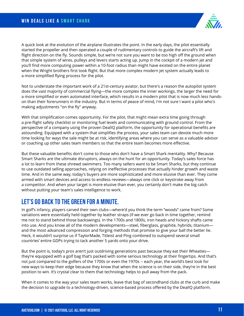

A quick look at the evolution of the airplane illustrates the point. In the early days, the pilot essentially started the propeller and then operated a couple of rudimentary controls to guide the aircraft's lift and flight direction on the fly. Sounds simple, but we're not sure you want to be too high off the ground when that simple system of wires, pulleys and levers starts acting up. Jump in the cockpit of a modern jet and you'll find more computing power within a 10-foot radius than might have existed on the entire planet when the Wright brothers first took flight. But that more complex modern jet system actually leads to a more simplified flying process for the pilot.

Not to understate the important work of a 21st-century aviator, but there's a reason the autopilot system does the vast majority of commercial flying—the more complex the inner workings, the larger the need for a more simplified or even automated interface, which results in a modern pilot that is now much less handson than their forerunners in the industry. But in terms of peace of mind, I'm not sure I want a pilot who's making adjustments "on the fly" anyway.

With that simplification comes opportunity. For the pilot, that might mean extra time going through a pre-flight safety checklist or monitoring fuel levels and communicating with ground control. From the perspective of a company using the proven DealIQ platform, the opportunity for operational benefits are astounding. Equipped with a system that simplifies the process, your sales team can devote much more time looking for ways the sale might be at risk, identifying areas where you can serve as a valuable advisor or coaching up other sales team members so that the entire team becomes more effective.

But these valuable benefits don't come to those who don't have a Smart Shark mentality. Why? Because Smart Sharks are the ultimate disruptors, always on the hunt for an opportunity. Today's sales force has a lot to learn from these shrewd swimmers. Too many sellers want to be Smart Sharks, but they continue to use outdated selling approaches, relying on ineffective processes that actually hinder growth and waste time. And in the same way, today's buyers are more sophisticated and more elusive than ever. They come armed with smart devices and access to endless reviews—always one click or keystroke away from a competitor. And when your target is more elusive than ever, you certainly don't make the big catch without putting your team's sales intelligence to work.

#### **Let's go back to the green for a minute.**

In golf's infancy, players carved their own clubs—where'd you think the term "woods" came from? Some variations were essentially held together by leather straps (if we ever go back in time together, remind me not to stand behind those backswings). In the 1700s and 1800s, iron heads and hickory shafts came into use. And you know all of the modern developments—steel, fiberglass, graphite, hybrids, titanium and the most advanced compression and forging methods that promise to give your ball the better lie. Heck, it wouldn't surprise us if TaylorMade, Titleist and Ping combined to outspend several small countries' entire GDPs trying to tack another 5 yards onto your drive.

But the point is, today's pros aren't just outdriving generations past because they eat their Wheaties they're equipped with a golf bag that's packed with some serious technology at their fingertips. And that's not just compared to the golfers of the 1700s or even the 1970s -- each year, the world's best look for new ways to keep their edge because they know that when the science is on their side, they're in the best position to win. It's crystal clear to them that technology helps to pull away from the pack.

When it comes to the way your sales team works, leave that bag of secondhand clubs at the curb and make the decision to upgrade to a technology-driven, science-based process offered by the DealIQ platform.